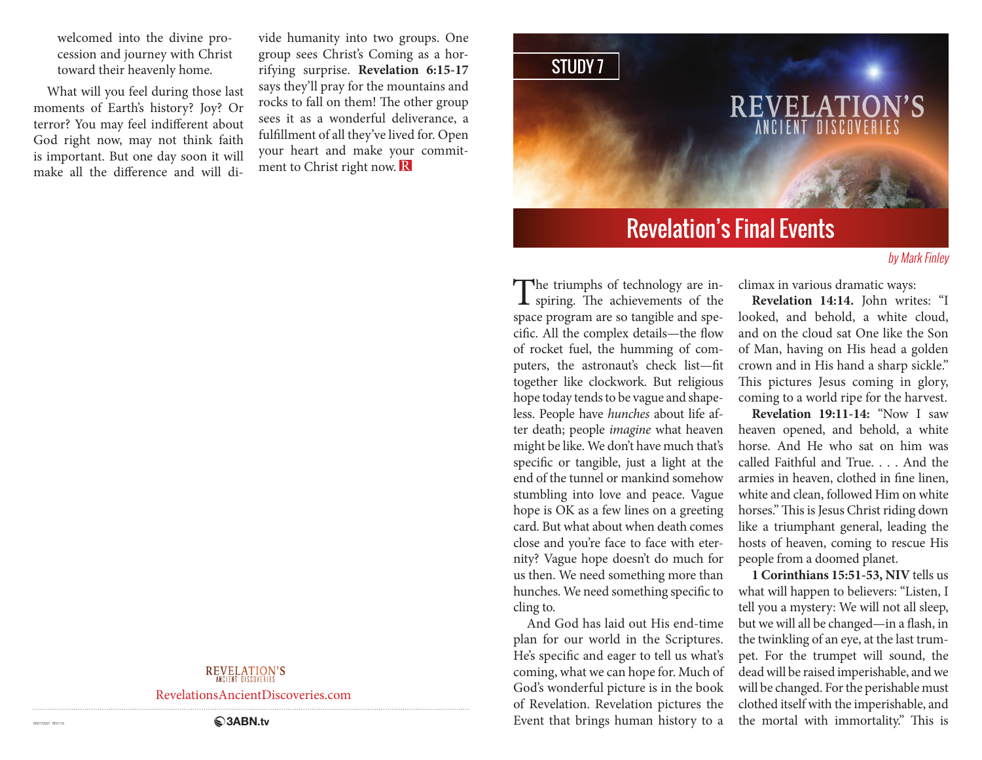welcomed into the divine procession and journey with Christ toward their heavenly home.

What will you feel during those last moments of Earth's history? Joy? Or terror? You may feel indifferent about God right now, may not think faith is important. But one day soon it will make all the difference and will di-

vide humanity into two groups. One group sees Christ's Coming as a horrifying surprise. **Revelation 6:15-17** says they'll pray for the mountains and rocks to fall on them! The other group sees it as a wonderful deliverance, a fulfillment of all they've lived for. Open your heart and make your commitment to Christ right now. R

# STUDY 7 REVELATIC **ANCIENT DISC**

# Revelation's Final Events

### by Mark Finley

The triumphs of technology are inspiring. The achievements of the space program are so tangible and specific. All the complex details—the flow of rocket fuel, the humming of computers, the astronaut's check list—fit together like clockwork. But religious hope today tends to be vague and shapeless. People have *hunches* about life after death; people *imagine* what heaven might be like. We don't have much that's specific or tangible, just a light at the end of the tunnel or mankind somehow stumbling into love and peace. Vague hope is OK as a few lines on a greeting card. But what about when death comes close and you're face to face with eternity? Vague hope doesn't do much for us then. We need something more than hunches. We need something specific to cling to.

And God has laid out His end-time plan for our world in the Scriptures. He's specific and eager to tell us what's coming, what we can hope for. Much of God's wonderful picture is in the book of Revelation. Revelation pictures the Event that brings human history to a

climax in various dramatic ways:

**Revelation 14:14.** John writes: "I looked, and behold, a white cloud, and on the cloud sat One like the Son of Man, having on His head a golden crown and in His hand a sharp sickle." This pictures Jesus coming in glory, coming to a world ripe for the harvest.

**Revelation 19:11-14:** "Now I saw heaven opened, and behold, a white horse. And He who sat on him was called Faithful and True. . . . And the armies in heaven, clothed in fine linen, white and clean, followed Him on white horses." This is Jesus Christ riding down like a triumphant general, leading the hosts of heaven, coming to rescue His people from a doomed planet.

**1 Corinthians 15:51-53, NIV** tells us what will happen to believers: "Listen, I tell you a mystery: We will not all sleep, but we will all be changed—in a flash, in the twinkling of an eye, at the last trumpet. For the trumpet will sound, the dead will be raised imperishable, and we will be changed. For the perishable must clothed itself with the imperishable, and the mortal with immortality." This is

### **REVELATION'S**

RevelationsAncientDiscoveries.com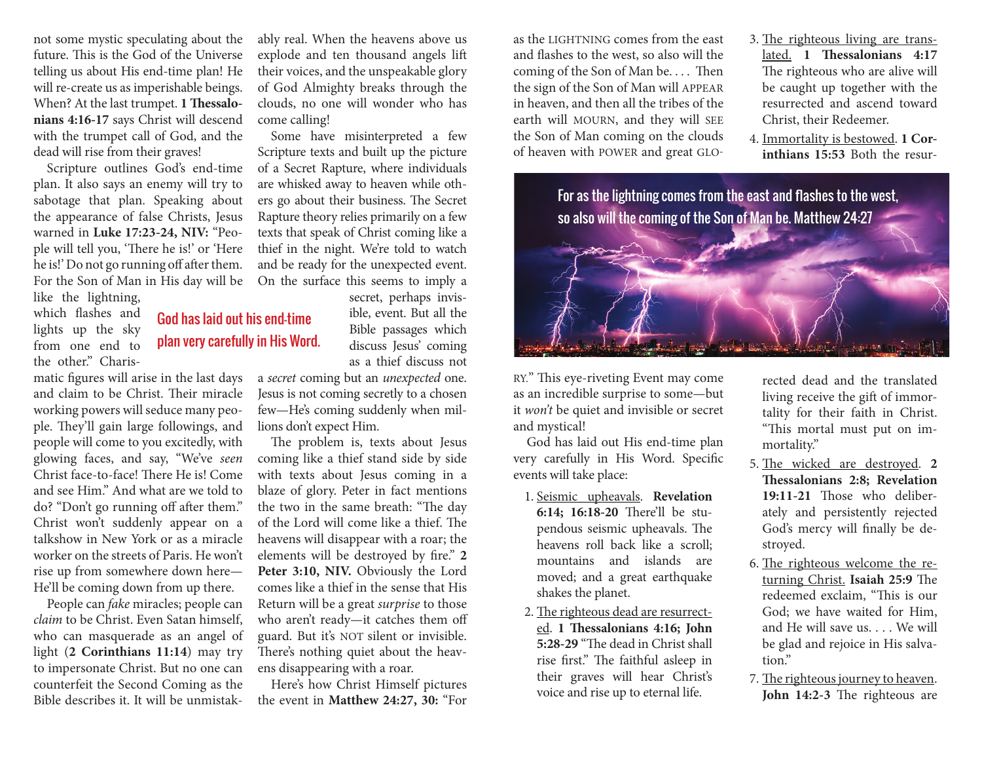not some mystic speculating about the future. This is the God of the Universe telling us about His end-time plan! He will re-create us as imperishable beings. When? At the last trumpet. **1 Thessalonians 4:16-17** says Christ will descend with the trumpet call of God, and the dead will rise from their graves!

Scripture outlines God's end-time plan. It also says an enemy will try to sabotage that plan. Speaking about the appearance of false Christs, Jesus warned in **Luke 17:23-24, NIV:** "People will tell you, 'There he is!' or 'Here he is!' Do not go running off after them. For the Son of Man in His day will be

like the lightning, which flashes and lights up the sky from one end to the other." Charis-

matic figures will arise in the last days and claim to be Christ. Their miracle working powers will seduce many people. They'll gain large followings, and people will come to you excitedly, with glowing faces, and say, "We've *seen*  Christ face-to-face! There He is! Come and see Him." And what are we told to do? "Don't go running off after them." Christ won't suddenly appear on a talkshow in New York or as a miracle worker on the streets of Paris. He won't rise up from somewhere down here— He'll be coming down from up there.

People can *fake* miracles; people can *claim* to be Christ. Even Satan himself, who can masquerade as an angel of light (**2 Corinthians 11:14**) may try to impersonate Christ. But no one can counterfeit the Second Coming as the Bible describes it. It will be unmistakably real. When the heavens above us explode and ten thousand angels lift their voices, and the unspeakable glory of God Almighty breaks through the clouds, no one will wonder who has come calling!

Some have misinterpreted a few Scripture texts and built up the picture of a Secret Rapture, where individuals are whisked away to heaven while others go about their business. The Secret Rapture theory relies primarily on a few texts that speak of Christ coming like a thief in the night. We're told to watch and be ready for the unexpected event. On the surface this seems to imply a

secret, perhaps invisible, event. But all the Bible passages which discuss Jesus' coming as a thief discuss not

a *secret* coming but an *unexpected* one. Jesus is not coming secretly to a chosen few—He's coming suddenly when millions don't expect Him.

The problem is, texts about Jesus coming like a thief stand side by side with texts about Jesus coming in a blaze of glory. Peter in fact mentions the two in the same breath: "The day of the Lord will come like a thief. The heavens will disappear with a roar; the elements will be destroyed by fire." **2 Peter 3:10, NIV.** Obviously the Lord comes like a thief in the sense that His Return will be a great *surprise* to those who aren't ready—it catches them off guard. But it's NOT silent or invisible. There's nothing quiet about the heavens disappearing with a roar.

Here's how Christ Himself pictures the event in **Matthew 24:27, 30:** "For as the LIGHTNING comes from the east and flashes to the west, so also will the coming of the Son of Man be. . . . Then the sign of the Son of Man will APPEAR in heaven, and then all the tribes of the earth will MOURN, and they will SEE the Son of Man coming on the clouds of heaven with POWER and great GLO-

- 3. The righteous living are translated. **1 Thessalonians 4:17** The righteous who are alive will be caught up together with the resurrected and ascend toward Christ, their Redeemer.
- 4. Immortality is bestowed. **1 Corinthians 15:53** Both the resur-



RY." This eye-riveting Event may come as an incredible surprise to some—but it *won't* be quiet and invisible or secret and mystical!

God has laid out His end-time plan very carefully in His Word. Specific events will take place:

- 1. Seismic upheavals. **Revelation 6:14; 16:18-20** There'll be stupendous seismic upheavals. The heavens roll back like a scroll; mountains and islands are moved; and a great earthquake shakes the planet.
- 2. The righteous dead are resurrected. **1 Thessalonians 4:16; John 5:28-29** "The dead in Christ shall rise first." The faithful asleep in their graves will hear Christ's voice and rise up to eternal life.

rected dead and the translated living receive the gift of immortality for their faith in Christ. "This mortal must put on immortality."

- 5. The wicked are destroyed. **2 Thessalonians 2:8; Revelation 19:11-21** Those who deliberately and persistently rejected God's mercy will finally be destroyed.
- 6. The righteous welcome the returning Christ. **Isaiah 25:9** The redeemed exclaim, "This is our God; we have waited for Him, and He will save us. . . We will be glad and rejoice in His salvation."
- 7. The righteous journey to heaven. **John 14:2-3** The righteous are

# God has laid out his end-time plan very carefully in His Word.